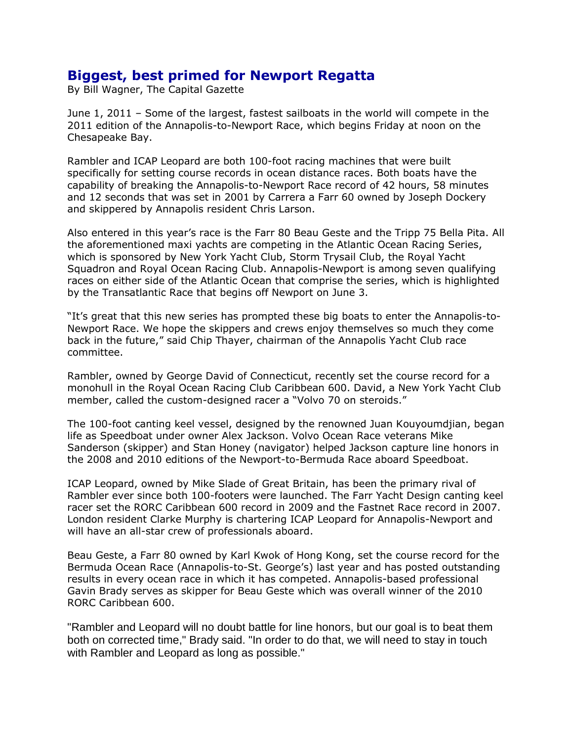## **Biggest, best primed for Newport Regatta**

By Bill Wagner, The Capital Gazette

June 1, 2011 – Some of the largest, fastest sailboats in the world will compete in the 2011 edition of the Annapolis-to-Newport Race, which begins Friday at noon on the Chesapeake Bay.

Rambler and ICAP Leopard are both 100-foot racing machines that were built specifically for setting course records in ocean distance races. Both boats have the capability of breaking the Annapolis-to-Newport Race record of 42 hours, 58 minutes and 12 seconds that was set in 2001 by Carrera a Farr 60 owned by Joseph Dockery and skippered by Annapolis resident Chris Larson.

Also entered in this year's race is the Farr 80 Beau Geste and the Tripp 75 Bella Pita. All the aforementioned maxi yachts are competing in the Atlantic Ocean Racing Series, which is sponsored by New York Yacht Club, Storm Trysail Club, the Royal Yacht Squadron and Royal Ocean Racing Club. Annapolis-Newport is among seven qualifying races on either side of the Atlantic Ocean that comprise the series, which is highlighted by the Transatlantic Race that begins off Newport on June 3.

"It's great that this new series has prompted these big boats to enter the Annapolis-to-Newport Race. We hope the skippers and crews enjoy themselves so much they come back in the future," said Chip Thayer, chairman of the Annapolis Yacht Club race committee.

Rambler, owned by George David of Connecticut, recently set the course record for a monohull in the Royal Ocean Racing Club Caribbean 600. David, a New York Yacht Club member, called the custom-designed racer a "Volvo 70 on steroids."

The 100-foot canting keel vessel, designed by the renowned Juan Kouyoumdjian, began life as Speedboat under owner Alex Jackson. Volvo Ocean Race veterans Mike Sanderson (skipper) and Stan Honey (navigator) helped Jackson capture line honors in the 2008 and 2010 editions of the Newport-to-Bermuda Race aboard Speedboat.

ICAP Leopard, owned by Mike Slade of Great Britain, has been the primary rival of Rambler ever since both 100-footers were launched. The Farr Yacht Design canting keel racer set the RORC Caribbean 600 record in 2009 and the Fastnet Race record in 2007. London resident Clarke Murphy is chartering ICAP Leopard for Annapolis-Newport and will have an all-star crew of professionals aboard.

Beau Geste, a Farr 80 owned by Karl Kwok of Hong Kong, set the course record for the Bermuda Ocean Race (Annapolis-to-St. George's) last year and has posted outstanding results in every ocean race in which it has competed. Annapolis-based professional Gavin Brady serves as skipper for Beau Geste which was overall winner of the 2010 RORC Caribbean 600.

"Rambler and Leopard will no doubt battle for line honors, but our goal is to beat them both on corrected time," Brady said. "In order to do that, we will need to stay in touch with Rambler and Leopard as long as possible."